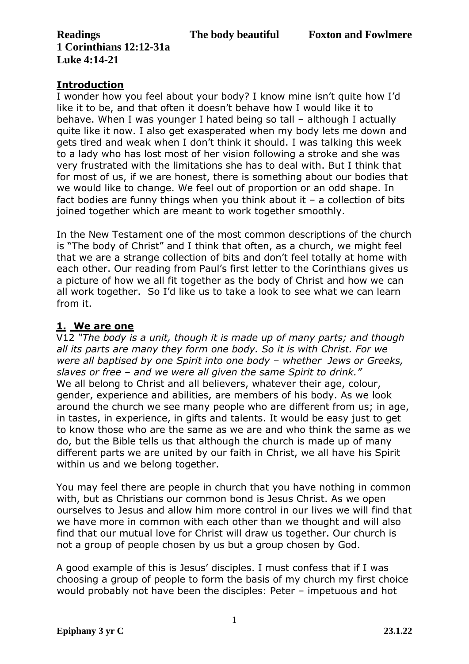**Readings The body beautiful Foxton and Fowlmere 1 Corinthians 12:12-31a Luke 4:14-21**

## **Introduction**

I wonder how you feel about your body? I know mine isn't quite how I'd like it to be, and that often it doesn't behave how I would like it to behave. When I was younger I hated being so tall – although I actually quite like it now. I also get exasperated when my body lets me down and gets tired and weak when I don't think it should. I was talking this week to a lady who has lost most of her vision following a stroke and she was very frustrated with the limitations she has to deal with. But I think that for most of us, if we are honest, there is something about our bodies that we would like to change. We feel out of proportion or an odd shape. In fact bodies are funny things when you think about it  $-$  a collection of bits joined together which are meant to work together smoothly.

In the New Testament one of the most common descriptions of the church is "The body of Christ" and I think that often, as a church, we might feel that we are a strange collection of bits and don't feel totally at home with each other. Our reading from Paul's first letter to the Corinthians gives us a picture of how we all fit together as the body of Christ and how we can all work together. So I'd like us to take a look to see what we can learn from it.

# **1. We are one**

V12 *"The body is a unit, though it is made up of many parts; and though all its parts are many they form one body. So it is with Christ. For we were all baptised by one Spirit into one body – whether Jews or Greeks, slaves or free – and we were all given the same Spirit to drink."*  We all belong to Christ and all believers, whatever their age, colour, gender, experience and abilities, are members of his body. As we look around the church we see many people who are different from us; in age, in tastes, in experience, in gifts and talents. It would be easy just to get to know those who are the same as we are and who think the same as we do, but the Bible tells us that although the church is made up of many different parts we are united by our faith in Christ, we all have his Spirit within us and we belong together.

You may feel there are people in church that you have nothing in common with, but as Christians our common bond is Jesus Christ. As we open ourselves to Jesus and allow him more control in our lives we will find that we have more in common with each other than we thought and will also find that our mutual love for Christ will draw us together. Our church is not a group of people chosen by us but a group chosen by God.

A good example of this is Jesus' disciples. I must confess that if I was choosing a group of people to form the basis of my church my first choice would probably not have been the disciples: Peter – impetuous and hot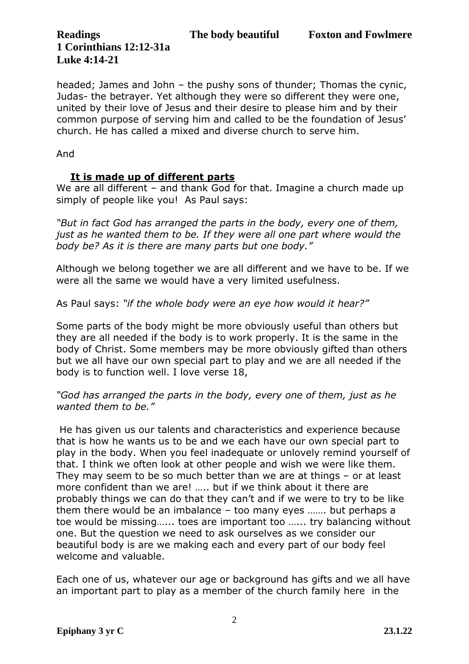**1 Corinthians 12:12-31a Luke 4:14-21**

headed; James and John – the pushy sons of thunder; Thomas the cynic, Judas- the betrayer. Yet although they were so different they were one, united by their love of Jesus and their desire to please him and by their common purpose of serving him and called to be the foundation of Jesus' church. He has called a mixed and diverse church to serve him.

And

#### **It is made up of different parts**

We are all different – and thank God for that. Imagine a church made up simply of people like you! As Paul says:

*"But in fact God has arranged the parts in the body, every one of them, just as he wanted them to be. If they were all one part where would the body be? As it is there are many parts but one body."* 

Although we belong together we are all different and we have to be. If we were all the same we would have a very limited usefulness.

As Paul says: *"if the whole body were an eye how would it hear?"* 

Some parts of the body might be more obviously useful than others but they are all needed if the body is to work properly. It is the same in the body of Christ. Some members may be more obviously gifted than others but we all have our own special part to play and we are all needed if the body is to function well. I love verse 18,

*"God has arranged the parts in the body, every one of them, just as he wanted them to be."*

He has given us our talents and characteristics and experience because that is how he wants us to be and we each have our own special part to play in the body. When you feel inadequate or unlovely remind yourself of that. I think we often look at other people and wish we were like them. They may seem to be so much better than we are at things – or at least more confident than we are! ….. but if we think about it there are probably things we can do that they can't and if we were to try to be like them there would be an imbalance – too many eyes ……. but perhaps a toe would be missing…... toes are important too …... try balancing without one. But the question we need to ask ourselves as we consider our beautiful body is are we making each and every part of our body feel welcome and valuable.

Each one of us, whatever our age or background has gifts and we all have an important part to play as a member of the church family here in the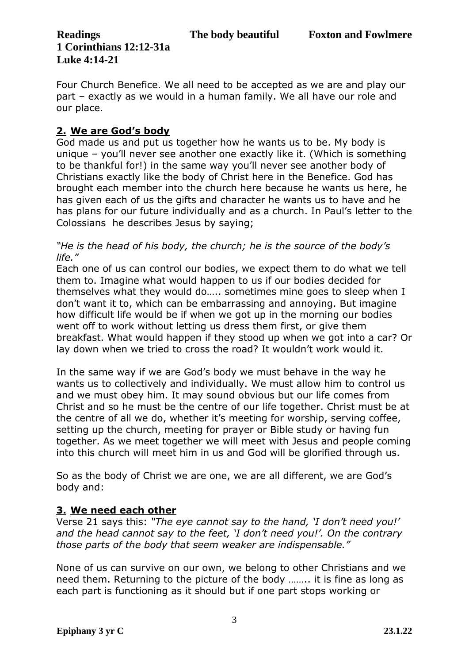**1 Corinthians 12:12-31a Luke 4:14-21**

Four Church Benefice. We all need to be accepted as we are and play our part – exactly as we would in a human family. We all have our role and our place.

# **2. We are God's body**

God made us and put us together how he wants us to be. My body is unique – you'll never see another one exactly like it. (Which is something to be thankful for!) in the same way you'll never see another body of Christians exactly like the body of Christ here in the Benefice. God has brought each member into the church here because he wants us here, he has given each of us the gifts and character he wants us to have and he has plans for our future individually and as a church. In Paul's letter to the Colossians he describes Jesus by saying;

*"He is the head of his body, the church; he is the source of the body's life."*

Each one of us can control our bodies, we expect them to do what we tell them to. Imagine what would happen to us if our bodies decided for themselves what they would do….. sometimes mine goes to sleep when I don't want it to, which can be embarrassing and annoying. But imagine how difficult life would be if when we got up in the morning our bodies went off to work without letting us dress them first, or give them breakfast. What would happen if they stood up when we got into a car? Or lay down when we tried to cross the road? It wouldn't work would it.

In the same way if we are God's body we must behave in the way he wants us to collectively and individually. We must allow him to control us and we must obey him. It may sound obvious but our life comes from Christ and so he must be the centre of our life together. Christ must be at the centre of all we do, whether it's meeting for worship, serving coffee, setting up the church, meeting for prayer or Bible study or having fun together. As we meet together we will meet with Jesus and people coming into this church will meet him in us and God will be glorified through us.

So as the body of Christ we are one, we are all different, we are God's body and:

## **3. We need each other**

Verse 21 says this: *"The eye cannot say to the hand, 'I don't need you!' and the head cannot say to the feet, 'I don't need you!'. On the contrary those parts of the body that seem weaker are indispensable."* 

None of us can survive on our own, we belong to other Christians and we need them. Returning to the picture of the body …….. it is fine as long as each part is functioning as it should but if one part stops working or